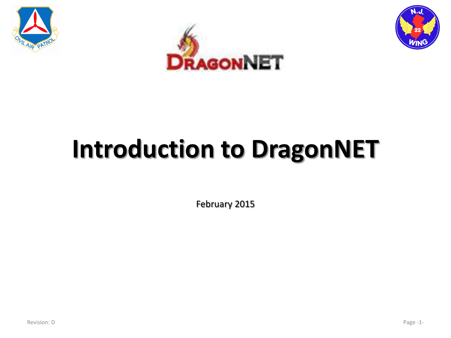





# **Introduction to DragonNET**

February 2015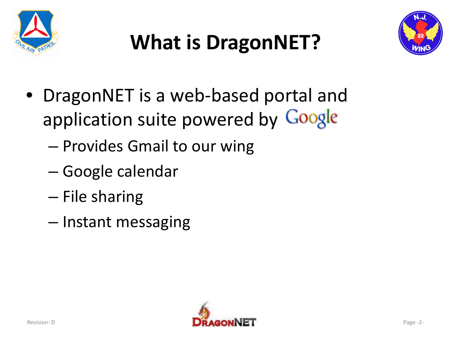

# **What is DragonNET?**



- DragonNET is a web-based portal and application suite powered by Google
	- Provides Gmail to our wing
	- Google calendar
	- File sharing
	- Instant messaging

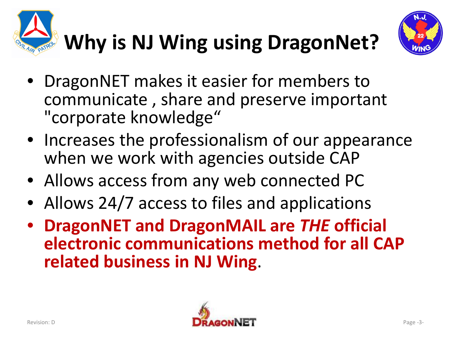



- DragonNET makes it easier for members to communicate , share and preserve important "corporate knowledge"
- Increases the professionalism of our appearance when we work with agencies outside CAP
- Allows access from any web connected PC
- Allows 24/7 access to files and applications
- **DragonNET and DragonMAIL are** *THE* **official electronic communications method for all CAP related business in NJ Wing**.

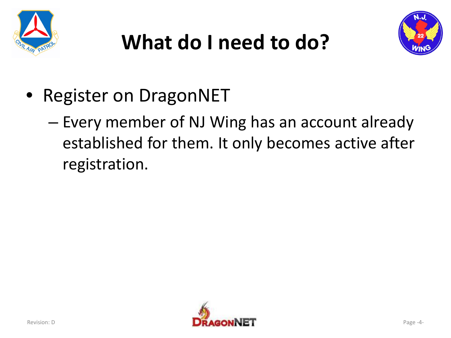





- Register on DragonNET
	- Every member of NJ Wing has an account already established for them. It only becomes active after registration.

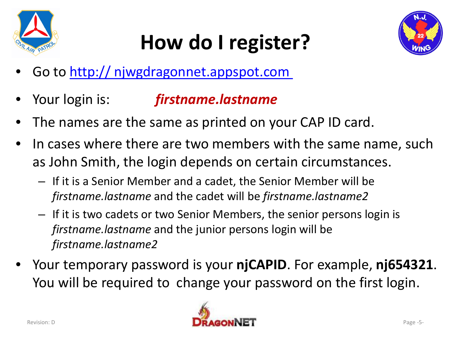

# **How do I register?**



- Go to http:// [njwgdragonnet.appspot.com](http://njwgdragonnet.appspot.com/)
- Your login is: *firstname.lastname*
- The names are the same as printed on your CAP ID card.
- In cases where there are two members with the same name, such as John Smith, the login depends on certain circumstances.
	- If it is a Senior Member and a cadet, the Senior Member will be *firstname.lastname* and the cadet will be *firstname.lastname2*
	- If it is two cadets or two Senior Members, the senior persons login is *firstname.lastname* and the junior persons login will be *firstname.lastname2*
- Your temporary password is your **njCAPID**. For example, **nj654321**. You will be required to change your password on the first login.

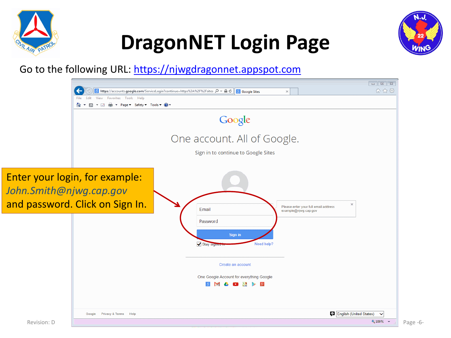





#### Go to the following URL: [https://njwgdragonnet.appspot.com](https://njwgdragonnet.appspot.com/)

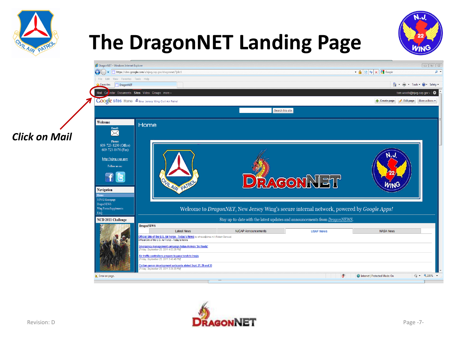

## **The DragonNET Landing Page**





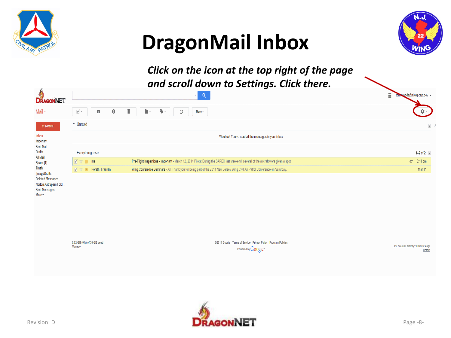

### **DragonMail Inbox**



*Click on the icon at the top right of the page and scroll down to Settings. Click there.*

| М<br><b>DRAGONNET</b>                                                                                                                                                            |                                                         | ັ<br>$\mathsf{Q}$<br>$\overline{\mathbf{v}}$                                                                                         | W.<br>oods@njwg.cap.gov <del>+</del>                   |  |  |
|----------------------------------------------------------------------------------------------------------------------------------------------------------------------------------|---------------------------------------------------------|--------------------------------------------------------------------------------------------------------------------------------------|--------------------------------------------------------|--|--|
| Mail *                                                                                                                                                                           | $\overline{\blacktriangleleft}$ $\circ$<br>o<br>$\bf 0$ | î<br>$\blacklozenge$ .<br>h v<br>C<br>More $\overline{\phantom{a}}$                                                                  | <b>Ö</b> .∼                                            |  |  |
| <b>COMPOSE</b>                                                                                                                                                                   | ▼ Unread                                                |                                                                                                                                      | $\overline{\mathbf{v}}$                                |  |  |
| Inbox<br>Important<br>Sent Mail<br><b>Drafts</b><br>All Mail<br>Spam (1)<br>Trash<br>[Imap]/Drafts<br><b>Deleted Messages</b><br>Norton AntiSpam Fold<br>Sent Messages<br>More - | Woohoo! You've read all the messages in your inbox.     |                                                                                                                                      |                                                        |  |  |
|                                                                                                                                                                                  | * Everything else                                       |                                                                                                                                      | 1-2 of $2$ $\overline{ }$                              |  |  |
|                                                                                                                                                                                  | <b>V * D</b> me                                         | Pre-Flight Inspections - Important - March 12, 2014 Pilots: During the SAREX last weekend, several of the aircraft were given a spot | $\text{C}$ 9:10 pm                                     |  |  |
|                                                                                                                                                                                  | Porath, Franklin<br><b>V &amp; D</b>                    | Wing Conference Seminars - All: Thank you for being part of the 2014 New Jersey Wing Civil Air Patrol Conference on Saturday,        | Mar 11                                                 |  |  |
|                                                                                                                                                                                  |                                                         |                                                                                                                                      |                                                        |  |  |
|                                                                                                                                                                                  | 0.02 GB (0%) of 30 GB used<br>Manage                    | @2014 Google - Terms of Service - Privacy Policy - Program Policies<br>Powered by $Google$                                           | Last account activity: 9 minutes ago<br><b>Details</b> |  |  |

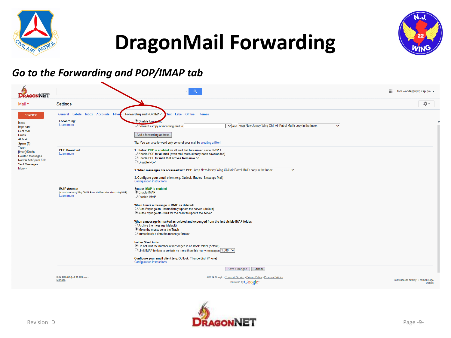





#### *Go to the Forwarding and POP/IMAP tab*

| <b>DRAGONNET</b>                                                                                                                                                                                                       |                                                                                                                   | Q                                                                                                                                                                                                                                                                                                                                                                                                                                                                                                                                                                                                                                                                                                                                                                             | 薑<br>tom.woods@njwg.cap.gov →                          |
|------------------------------------------------------------------------------------------------------------------------------------------------------------------------------------------------------------------------|-------------------------------------------------------------------------------------------------------------------|-------------------------------------------------------------------------------------------------------------------------------------------------------------------------------------------------------------------------------------------------------------------------------------------------------------------------------------------------------------------------------------------------------------------------------------------------------------------------------------------------------------------------------------------------------------------------------------------------------------------------------------------------------------------------------------------------------------------------------------------------------------------------------|--------------------------------------------------------|
| Mail *                                                                                                                                                                                                                 | Settings                                                                                                          |                                                                                                                                                                                                                                                                                                                                                                                                                                                                                                                                                                                                                                                                                                                                                                               | <b>立。</b>                                              |
| <b>COMPOSE</b><br><b>Inbox</b><br>Important<br><b>Sent Mail</b><br><b>Drafts</b><br>All Mail<br>Spam (1)<br>Trash<br>[Imap]/Drafts<br><b>Deleted Messages</b><br>Norton AntiSpam Fold<br>Sent Messages<br>More $\star$ | <b>General Labels Inbox Accounts Filte</b><br>Forwarding:<br>Learn more                                           | <b>Forwarding and POP/IMAP</b><br><b>Labs</b> Offline Themes<br>hat:<br><b>O</b> Disable forware<br>V and keep New Jersey Wing Civil Air Patrol Mail's copy in the Inbox<br>Forward a copy of incoming mail to<br>$\checkmark$<br>Add a forwarding address<br>Tip: You can also forward only some of your mail by creating a filter!                                                                                                                                                                                                                                                                                                                                                                                                                                          |                                                        |
|                                                                                                                                                                                                                        | <b>POP Download:</b><br>Learn more                                                                                | 1. Status: POP is enabled for all mail that has arrived since 3/28/11<br>O Enable POP for all mail (even mail that's already been downloaded)<br>○ Enable POP for mail that arrives from now on<br>O Disable POP<br>2. When messages are accessed with POP keep New Jersey Wing Civil Air Patrol Mail's copy in the Inbox<br>$\vee$<br>3. Configure your email client (e.g. Outlook, Eudora, Netscape Mail)<br><b>Configuration instructions</b>                                                                                                                                                                                                                                                                                                                              |                                                        |
|                                                                                                                                                                                                                        | <b>IMAP Access:</b><br>(access New Jersey Wing Civil Air Patrol Mail from other clients using IMAP)<br>Learn more | <b>Status: IMAP is enabled</b><br><b>Enable IMAP</b><br>O Disable IMAP<br>When I mark a message in IMAP as deleted:<br>O Auto-Expunge on - Immediately update the server. (default)<br><sup>6</sup> Auto-Expunge off - Wait for the client to update the server.<br>When a message is marked as deleted and expunged from the last visible IMAP folder:<br>○ Archive the message (default)<br>Move the message to the Trash<br>O Immediately delete the message forever<br><b>Folder Size Limits</b><br>. Do not limit the number of messages in an IMAP folder (default)<br>$\circ$ Limit IMAP folders to contain no more than this many messages 1,000 $\checkmark$<br>Configure your email client (e.g. Outlook, Thunderbird, iPhone)<br><b>Configuration instructions</b> |                                                        |
|                                                                                                                                                                                                                        | 0.02 GB (0%) of 30 GB used<br>Manage                                                                              | Save Changes Cancel<br>@2014 Google - Terms of Service - Privacy Policy - Program Policies<br>Powered by Google <sup>®</sup>                                                                                                                                                                                                                                                                                                                                                                                                                                                                                                                                                                                                                                                  | Last account activity: 9 minutes ago<br><b>Details</b> |

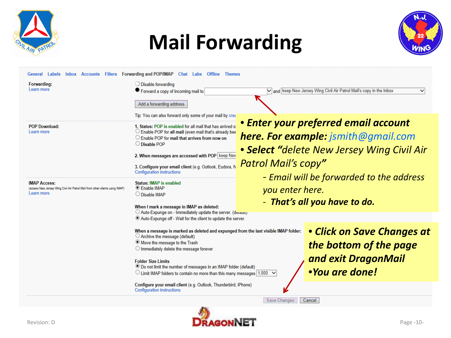

### **Mail Forwarding**



| Filters Forwarding and POP/IMAP Chat Labs Offline Themes<br>General Labels<br><b>Inbox Accounts</b>                                                               |                                                                                                                   |  |  |
|-------------------------------------------------------------------------------------------------------------------------------------------------------------------|-------------------------------------------------------------------------------------------------------------------|--|--|
| Forwarding:<br>$\bigcirc$ Disable forwarding                                                                                                                      |                                                                                                                   |  |  |
| Learn more<br>● Forward a copy of incoming mail to                                                                                                                | V and keep New Jersey Wing Civil Air Patrol Mail's copy in the Inbox<br>$\checkmark$                              |  |  |
|                                                                                                                                                                   |                                                                                                                   |  |  |
| Add a forwarding address                                                                                                                                          |                                                                                                                   |  |  |
| Tip: You can also forward only some of your mail by crea                                                                                                          |                                                                                                                   |  |  |
| 1. Status: POP is enabled for all mail that has arrived si<br><b>POP Download:</b>                                                                                | • Enter your preferred email account                                                                              |  |  |
| $\circlearrowright$ Enable POP for all mail (even mail that's already bee<br>Learn more                                                                           |                                                                                                                   |  |  |
| $\circ$ Enable POP for mail that arrives from now on                                                                                                              | <b>here. For example:</b> jsmith@gmail.com                                                                        |  |  |
| O Disable POP                                                                                                                                                     | • Select "delete New Jersey Wing Civil Air                                                                        |  |  |
| 2. When messages are accessed with POP keep New                                                                                                                   |                                                                                                                   |  |  |
|                                                                                                                                                                   | Patrol Mail's copy"                                                                                               |  |  |
| 3. Configure your email client (e.g. Outlook, Eudora, N<br><b>Configuration instructions</b>                                                                      |                                                                                                                   |  |  |
|                                                                                                                                                                   | - Email will be forwarded to the address                                                                          |  |  |
| <b>IMAP Access:</b><br><b>Status: IMAP is enabled</b><br><sup>●</sup> Enable IMAP<br>(access New Jersey Wing Civil Air Patrol Mail from other clients using IMAP) |                                                                                                                   |  |  |
| Learn more<br>◯ Disable IMAP                                                                                                                                      | you enter here.                                                                                                   |  |  |
|                                                                                                                                                                   | - That's all you have to do.                                                                                      |  |  |
| When I mark a message in IMAP as deleted:<br>$\bigcirc$ Auto-Expunge on - Immediately update the server. (derayally                                               |                                                                                                                   |  |  |
| <sup>®</sup> Auto-Expunge off - Wait for the client to update the server.                                                                                         |                                                                                                                   |  |  |
|                                                                                                                                                                   |                                                                                                                   |  |  |
| ◯ Archive the message (default)                                                                                                                                   | • Click on Save Changes at<br>When a message is marked as deleted and expunged from the last visible IMAP folder: |  |  |
| Move the message to the Trash                                                                                                                                     |                                                                                                                   |  |  |
| $\bigcirc$ Immediately delete the message forever                                                                                                                 | the bottom of the page                                                                                            |  |  |
|                                                                                                                                                                   | and exit DragonMail                                                                                               |  |  |
| <b>Folder Size Limits</b><br><sup>●</sup> Do not limit the number of messages in an IMAP folder (default)                                                         |                                                                                                                   |  |  |
| $\circ$ Limit IMAP folders to contain no more than this many messages 1,000 $\checkmark$                                                                          | <i>•You are done!</i>                                                                                             |  |  |
|                                                                                                                                                                   |                                                                                                                   |  |  |
| Configure your email client (e.g. Outlook, Thunderbird, iPhone)<br><b>Configuration instructions</b>                                                              |                                                                                                                   |  |  |
|                                                                                                                                                                   | <b>Save Changes</b><br>Cancel                                                                                     |  |  |

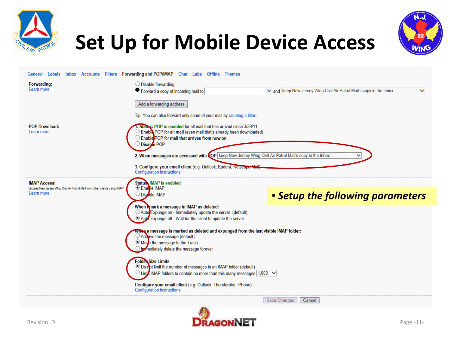



### **Set Up for Mobile Device Access**

| General Labels Inbox Accounts                                                                                     | Filters Forwarding and POP/IMAP Chat Labs Offline Themes                                                                                                                                                                                                                                                                                                                                            |                                                                                           |
|-------------------------------------------------------------------------------------------------------------------|-----------------------------------------------------------------------------------------------------------------------------------------------------------------------------------------------------------------------------------------------------------------------------------------------------------------------------------------------------------------------------------------------------|-------------------------------------------------------------------------------------------|
| Forwarding:                                                                                                       | $\bigcirc$ Disable forwarding                                                                                                                                                                                                                                                                                                                                                                       |                                                                                           |
| Learn more                                                                                                        | ● Forward a copy of incoming mail to                                                                                                                                                                                                                                                                                                                                                                | $\vee$ and keep New Jersey Wing Civil Air Patrol Mail's copy in the Inbox<br>$\checkmark$ |
|                                                                                                                   | Add a forwarding address<br>Tip: You can also forward only some of your mail by creating a filter!                                                                                                                                                                                                                                                                                                  |                                                                                           |
| <b>POP Download:</b><br>Learn more                                                                                | Status: POP is enabled for all mail that has arrived since 3/28/11<br>Enable POP for all mail (even mail that's already been downloaded)<br>C Enable POP for mail that arrives from now on<br>O Disable POP<br>2. When messages are accessed with <b>COP</b> keep New Jersey Wing Civil Air Patrol Mail's copy in the Inbox<br>3. Configure your email client (e.g. Outlook, Eudora, Netscape Mail) |                                                                                           |
|                                                                                                                   | <b>Configuration instructions</b>                                                                                                                                                                                                                                                                                                                                                                   |                                                                                           |
| <b>IMAP Access:</b><br>(access New Jersey Wing Civil Air Patrol Mail from other clients using IMAP)<br>Learn more | <b>Status IMAP</b> is enabled<br>C Enable IMAP<br>O Dischle IMAP                                                                                                                                                                                                                                                                                                                                    | • Setup the following parameters                                                          |
|                                                                                                                   | When Mark a message in IMAP as deleted:<br>○ Auto Expunge on - Immediately update the server. (default)<br><sup>O</sup> Auto-Expunge off - Wait for the client to update the server.                                                                                                                                                                                                                |                                                                                           |
|                                                                                                                   | wines a message is marked as deleted and expunged from the last visible IMAP folder:<br>$\bigcirc$ Archive the message (default)<br>Moye the message to the Trash<br>In mediately delete the message forever                                                                                                                                                                                        |                                                                                           |
|                                                                                                                   | <b>Folder Size Limits</b><br><sup>●</sup> Do not limit the number of messages in an IMAP folder (default)<br>$\circ$ Limit IMAP folders to contain no more than this many messages 1,000 $\checkmark$<br>Configure your email client (e.g. Outlook, Thunderbird, iPhone)                                                                                                                            |                                                                                           |
|                                                                                                                   | <b>Configuration instructions</b>                                                                                                                                                                                                                                                                                                                                                                   | Save Changes<br>Cancel                                                                    |